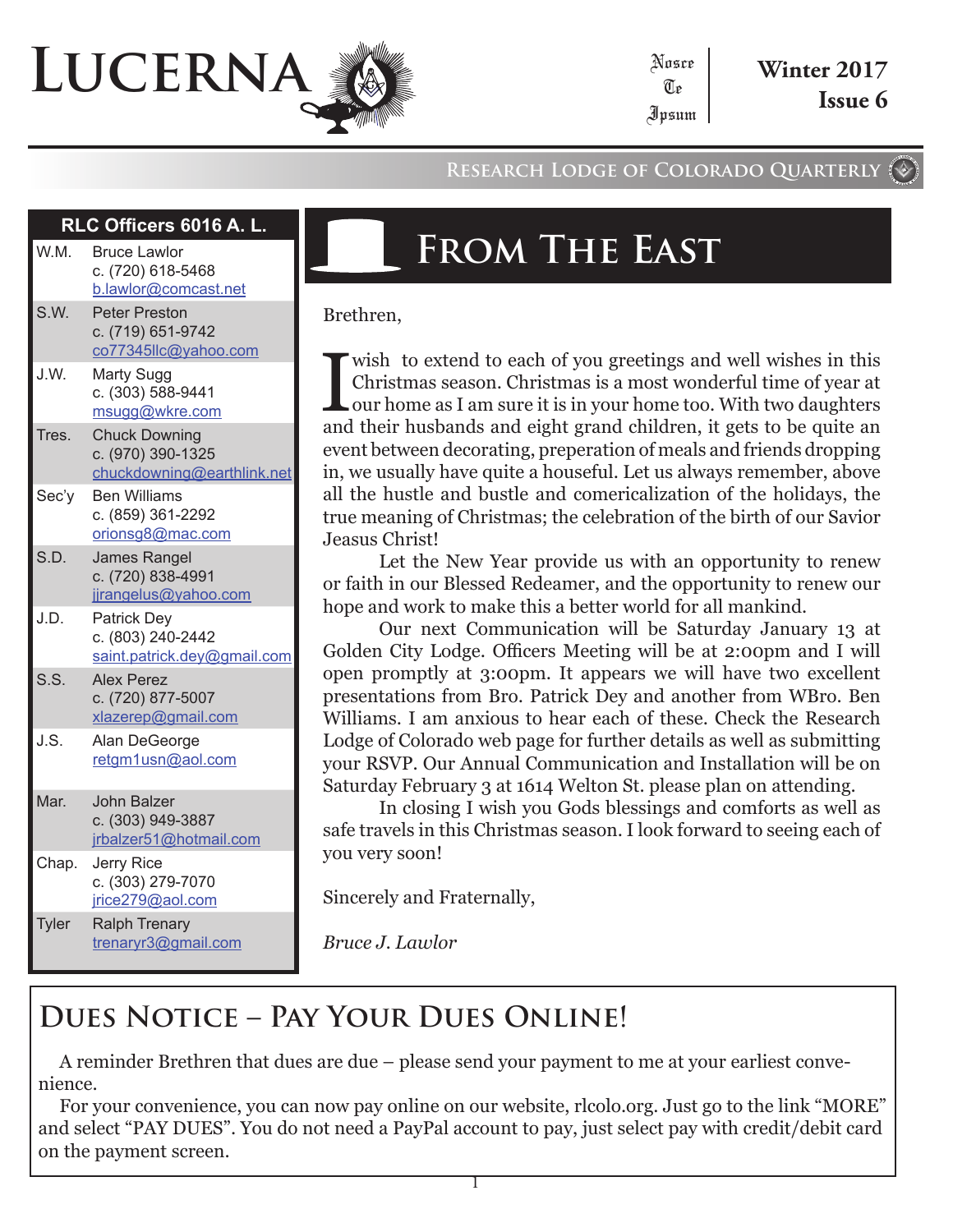# **Lucerna**

#### **Research Lodge of Colorado Quarterly**

Nosce Te

#### **RLC Officers 6016 A. L.**

| W.M.  | <b>Bruce Lawlor</b><br>c. (720) 618-5468<br>b.lawlor@comcast.net        |
|-------|-------------------------------------------------------------------------|
| S.W.  | <b>Peter Preston</b><br>c. (719) 651-9742<br>co77345llc@yahoo.com       |
| J.W.  | Marty Sugg<br>c. (303) 588-9441<br>msugg@wkre.com                       |
| Tres. | <b>Chuck Downing</b><br>c. (970) 390-1325<br>chuckdowning@earthlink.net |
| Sec'y | <b>Ben Williams</b><br>c. (859) 361-2292<br>orionsg8@mac.com            |
| S.D.  | <b>James Rangel</b><br>c. (720) 838-4991<br>jjrangelus@yahoo.com        |
| J.D.  | <b>Patrick Dey</b><br>c. (803) 240-2442<br>saint.patrick.dey@gmail.com  |
| S.S.  | <b>Alex Perez</b><br>c. (720) 877-5007<br>xlazerep@gmail.com            |
| J.S.  | Alan DeGeorge<br>retgm1usn@aol.com                                      |
| Mar.  | John Balzer<br>c. (303) 949-3887<br>jrbalzer51@hotmail.com              |
| Chap. | Jerry Rice<br>c. (303) 279-7070<br>jrice279@aol.com                     |
| Tyler | <b>Ralph Trenary</b><br>trenaryr3@gmail.com                             |

## **From The East**

Brethren,

Wish to extend to each of you greetings and well wishes in this Christmas season. Christmas is a most wonderful time of year at our home as I am sure it is in your home too. With two daughters and their husbands and eight Christmas season. Christmas is a most wonderful time of year at our home as I am sure it is in your home too. With two daughters and their husbands and eight grand children, it gets to be quite an event between decorating, preperation of meals and friends dropping in, we usually have quite a houseful. Let us always remember, above all the hustle and bustle and comericalization of the holidays, the true meaning of Christmas; the celebration of the birth of our Savior Jeasus Christ!

Let the New Year provide us with an opportunity to renew or faith in our Blessed Redeamer, and the opportunity to renew our hope and work to make this a better world for all mankind.

Our next Communication will be Saturday January 13 at Golden City Lodge. Officers Meeting will be at 2:00pm and I will open promptly at 3:00pm. It appears we will have two excellent presentations from Bro. Patrick Dey and another from WBro. Ben Williams. I am anxious to hear each of these. Check the Research Lodge of Colorado web page for further details as well as submitting your RSVP. Our Annual Communication and Installation will be on Saturday February 3 at 1614 Welton St. please plan on attending.

In closing I wish you Gods blessings and comforts as well as safe travels in this Christmas season. I look forward to seeing each of you very soon!

Sincerely and Fraternally,

*Bruce J. Lawlor*

### **Dues Notice – Pay Your Dues Online!**

A reminder Brethren that dues are due – please send your payment to me at your earliest convenience.

For your convenience, you can now pay online on our website, rlcolo.org. Just go to the link "MORE" and select "PAY DUES". You do not need a PayPal account to pay, just select pay with credit/debit card on the payment screen.

1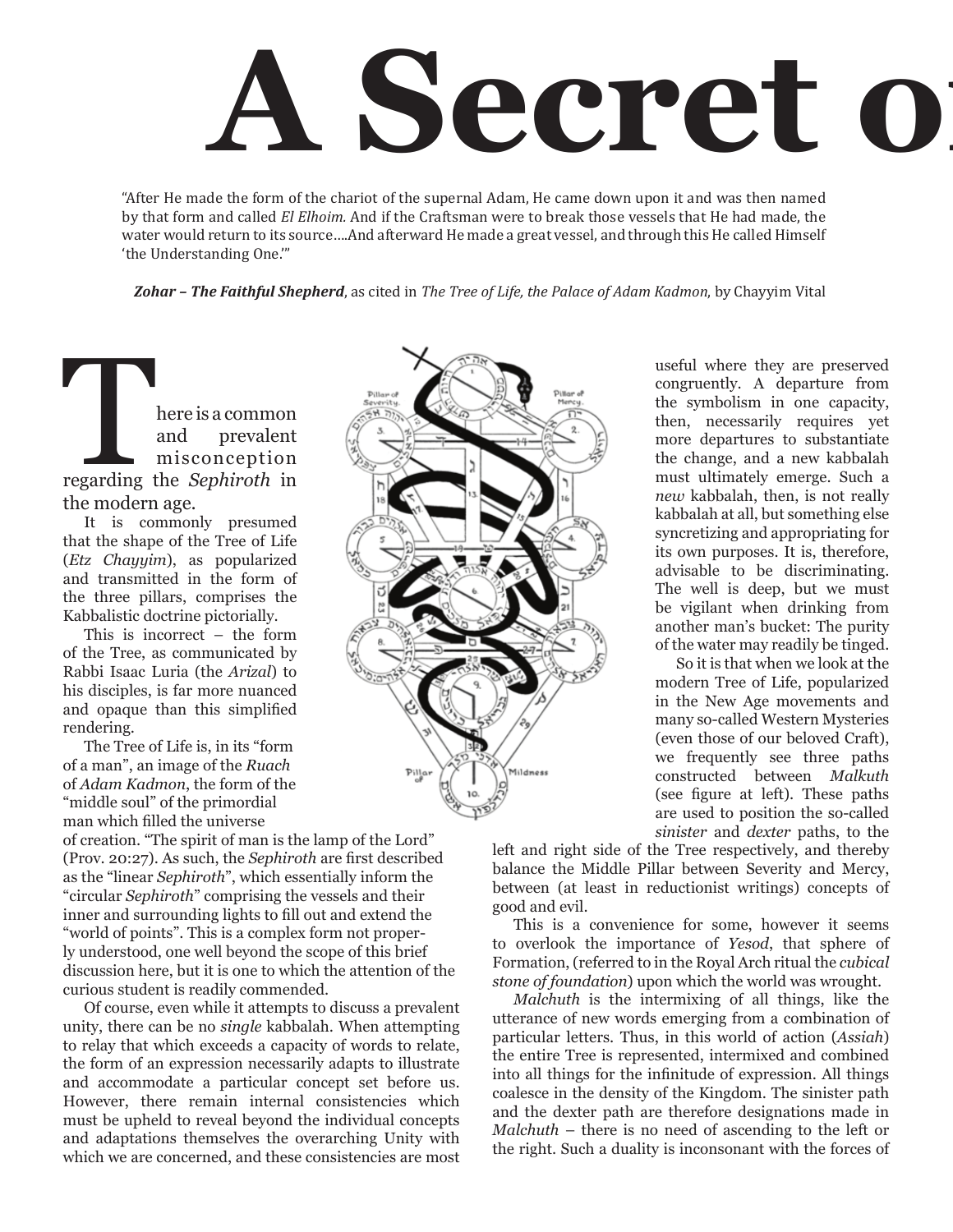# **A Secret o**

"After He made the form of the chariot of the supernal Adam, He came down upon it and was then named by that form and called *El Elhoim.* And if the Craftsman were to break those vessels that He had made, the water would return to its source….And afterward He made a great vessel, and through this He called Himself 'the Understanding One.'"

*Zohar – The Faithful Shepherd*, as cited in *The Tree of Life, the Palace of Adam Kadmon*, by Chayyim Vital

**Phenomic Separation September 2013**<br>
regarding the *Sephiroth* in and prevalent misconception the modern age.

It is commonly presumed that the shape of the Tree of Life (*Etz Chayyim*), as popularized and transmitted in the form of the three pillars, comprises the Kabbalistic doctrine pictorially.

This is incorrect – the form of the Tree, as communicated by Rabbi Isaac Luria (the *Arizal*) to his disciples, is far more nuanced and opaque than this simplified rendering.

The Tree of Life is, in its "form of a man", an image of the *Ruach* of *Adam Kadmon*, the form of the "middle soul" of the primordial man which filled the universe

of creation. "The spirit of man is the lamp of the Lord" (Prov. 20:27). As such, the *Sephiroth* are first described as the "linear *Sephiroth*", which essentially inform the "circular *Sephiroth*" comprising the vessels and their inner and surrounding lights to fill out and extend the "world of points". This is a complex form not properly understood, one well beyond the scope of this brief discussion here, but it is one to which the attention of the curious student is readily commended.

Of course, even while it attempts to discuss a prevalent unity, there can be no *single* kabbalah. When attempting to relay that which exceeds a capacity of words to relate, the form of an expression necessarily adapts to illustrate and accommodate a particular concept set before us. However, there remain internal consistencies which must be upheld to reveal beyond the individual concepts and adaptations themselves the overarching Unity with which we are concerned, and these consistencies are most



useful where they are preserved congruently. A departure from the symbolism in one capacity, then, necessarily requires yet more departures to substantiate the change, and a new kabbalah must ultimately emerge. Such a *new* kabbalah, then, is not really kabbalah at all, but something else syncretizing and appropriating for its own purposes. It is, therefore, advisable to be discriminating. The well is deep, but we must be vigilant when drinking from another man's bucket: The purity of the water may readily be tinged.

So it is that when we look at the modern Tree of Life, popularized in the New Age movements and many so-called Western Mysteries (even those of our beloved Craft), we frequently see three paths constructed between *Malkuth* (see figure at left). These paths are used to position the so-called *sinister* and *dexter* paths, to the

left and right side of the Tree respectively, and thereby balance the Middle Pillar between Severity and Mercy, between (at least in reductionist writings) concepts of good and evil.

This is a convenience for some, however it seems to overlook the importance of *Yesod*, that sphere of Formation, (referred to in the Royal Arch ritual the *cubical stone of foundation*) upon which the world was wrought.

*Malchuth* is the intermixing of all things, like the utterance of new words emerging from a combination of particular letters. Thus, in this world of action (*Assiah*) the entire Tree is represented, intermixed and combined into all things for the infinitude of expression. All things coalesce in the density of the Kingdom. The sinister path and the dexter path are therefore designations made in *Malchuth* – there is no need of ascending to the left or the right. Such a duality is inconsonant with the forces of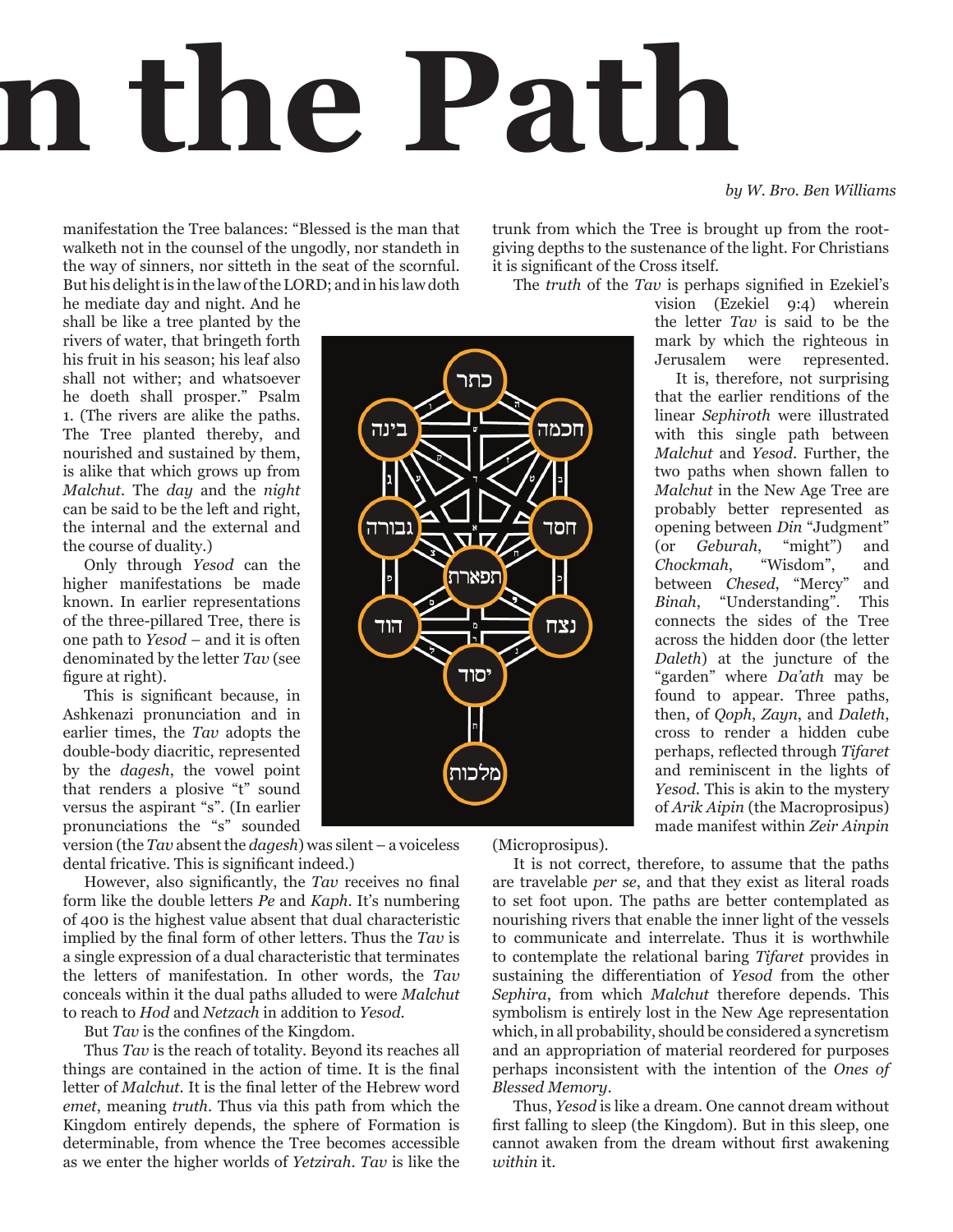# **A Secret on the Path**

*by W. Bro. Ben Williams*

manifestation the Tree balances: "Blessed is the man that walketh not in the counsel of the ungodly, nor standeth in the way of sinners, nor sitteth in the seat of the scornful. But his delight is in the law of the LORD; and in his law doth

he mediate day and night. And he shall be like a tree planted by the rivers of water, that bringeth forth his fruit in his season; his leaf also shall not wither; and whatsoever he doeth shall prosper." Psalm 1. (The rivers are alike the paths. The Tree planted thereby, and nourished and sustained by them, is alike that which grows up from *Malchut*. The *day* and the *night* can be said to be the left and right, the internal and the external and the course of duality.)

Only through *Yesod* can the higher manifestations be made known. In earlier representations of the three-pillared Tree, there is one path to *Yesod* – and it is often denominated by the letter *Tav* (see figure at right).

This is significant because, in Ashkenazi pronunciation and in earlier times, the *Tav* adopts the double-body diacritic, represented by the *dagesh*, the vowel point that renders a plosive "t" sound versus the aspirant "s". (In earlier pronunciations the "s" sounded

version (the *Tav* absent the *dagesh*) was silent – a voiceless dental fricative. This is significant indeed.)

However, also significantly, the *Tav* receives no final form like the double letters *Pe* and *Kaph*. It's numbering of 400 is the highest value absent that dual characteristic implied by the final form of other letters. Thus the *Tav* is a single expression of a dual characteristic that terminates the letters of manifestation. In other words, the *Tav* conceals within it the dual paths alluded to were *Malchut* to reach to *Hod* and *Netzach* in addition to *Yesod*.

But *Tav* is the confines of the Kingdom.

Thus *Tav* is the reach of totality. Beyond its reaches all things are contained in the action of time. It is the final letter of *Malchut*. It is the final letter of the Hebrew word *emet*, meaning *truth*. Thus via this path from which the Kingdom entirely depends, the sphere of Formation is determinable, from whence the Tree becomes accessible as we enter the higher worlds of *Yetzirah*. *Tav* is like the trunk from which the Tree is brought up from the rootgiving depths to the sustenance of the light. For Christians it is significant of the Cross itself.

The *truth* of the *Tav* is perhaps signified in Ezekiel's

vision (Ezekiel 9:4) wherein the letter *Tav* is said to be the mark by which the righteous in Jerusalem were represented.

It is, therefore, not surprising that the earlier renditions of the linear *Sephiroth* were illustrated with this single path between *Malchut* and *Yesod*. Further, the two paths when shown fallen to *Malchut* in the New Age Tree are probably better represented as opening between *Din* "Judgment" (or *Geburah*, "might") and *Chockmah*, "Wisdom", and between *Chesed*, "Mercy" and *Binah*, "Understanding". This connects the sides of the Tree across the hidden door (the letter *Daleth*) at the juncture of the "garden" where *Da'ath* may be found to appear. Three paths, then, of *Qoph*, *Zayn*, and *Daleth*, cross to render a hidden cube perhaps, reflected through *Tifaret* and reminiscent in the lights of *Yesod*. This is akin to the mystery of *Arik Aipin* (the Macroprosipus) made manifest within *Zeir Ainpin*

(Microprosipus).

It is not correct, therefore, to assume that the paths are travelable *per se*, and that they exist as literal roads to set foot upon. The paths are better contemplated as nourishing rivers that enable the inner light of the vessels to communicate and interrelate. Thus it is worthwhile to contemplate the relational baring *Tifaret* provides in sustaining the differentiation of *Yesod* from the other *Sephira*, from which *Malchut* therefore depends. This symbolism is entirely lost in the New Age representation which, in all probability, should be considered a syncretism and an appropriation of material reordered for purposes perhaps inconsistent with the intention of the *Ones of Blessed Memory*.

Thus, *Yesod* is like a dream. One cannot dream without first falling to sleep (the Kingdom). But in this sleep, one cannot awaken from the dream without first awakening *within* it.